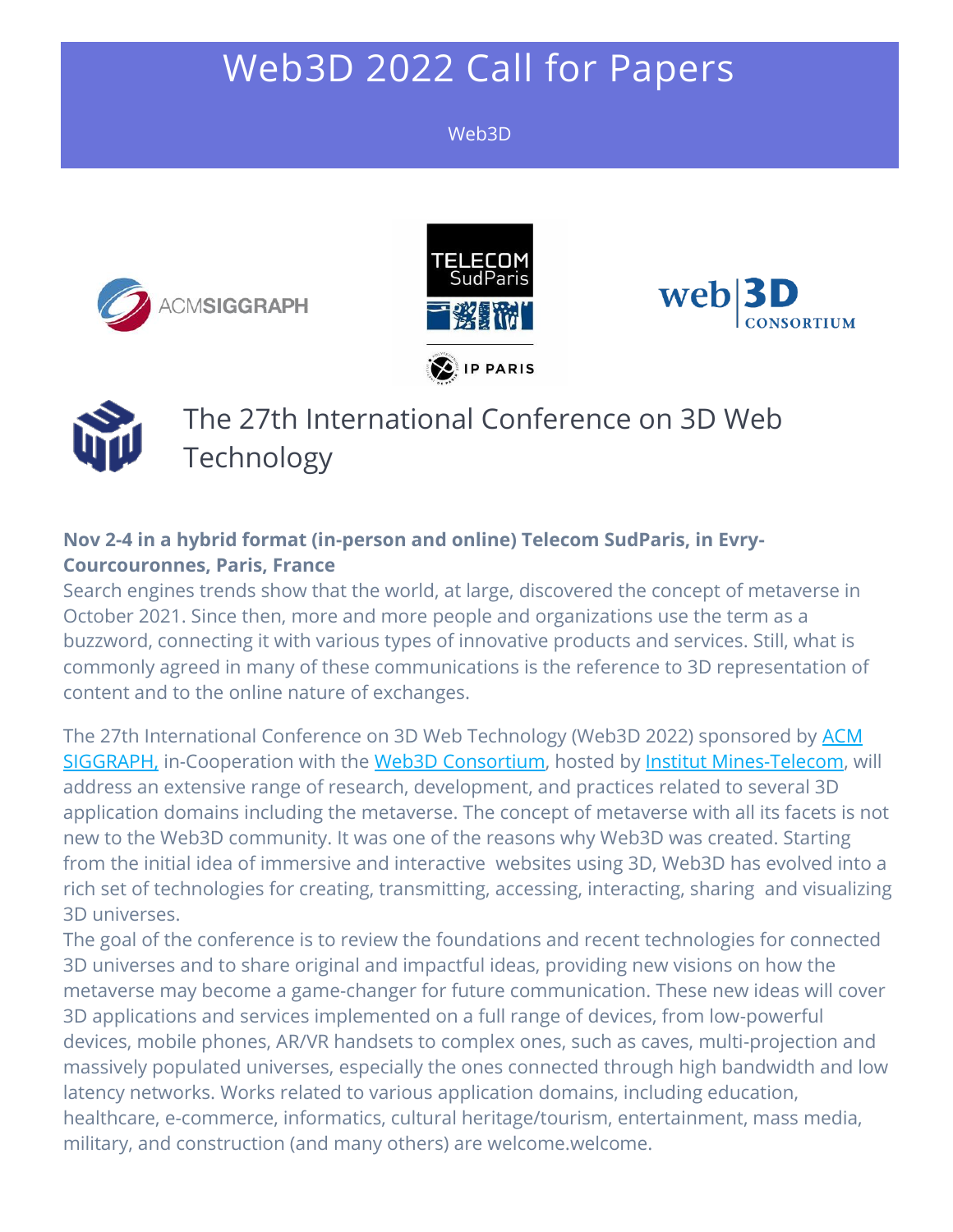# Web3D 2022 Call for Papers

#### Web3D









The 27th International Conference on 3D Web Technology

#### **Nov 2-4 in a hybrid format (in-person and online) Telecom SudParis, in Evry-Courcouronnes, Paris, France**

Search engines trends show that the world, at large, discovered the concept of metaverse in October 2021. Since then, more and more people and organizations use the term as a buzzword, connecting it with various types of innovative products and services. Still, what is commonly agreed in many of these communications is the reference to 3D representation of content and to the online nature of exchanges.

The 27th International Conference on 3D Web Technology (Web3D 2022) sponsored by [ACM](http://acm.org/)  [SIGGRAPH,](http://acm.org/) in-Cooperation with the [Web3D Consortium,](http://www.web3d.org/) hosted by [Institut Mines-Telecom,](https://www.telecom-sudparis.eu/en/) will address an extensive range of research, development, and practices related to several 3D application domains including the metaverse. The concept of metaverse with all its facets is not new to the Web3D community. It was one of the reasons why Web3D was created. Starting from the initial idea of immersive and interactive websites using 3D, Web3D has evolved into a rich set of technologies for creating, transmitting, accessing, interacting, sharing and visualizing 3D universes.

The goal of the conference is to review the foundations and recent technologies for connected 3D universes and to share original and impactful ideas, providing new visions on how the metaverse may become a game-changer for future communication. These new ideas will cover 3D applications and services implemented on a full range of devices, from low-powerful devices, mobile phones, AR/VR handsets to complex ones, such as caves, multi-projection and massively populated universes, especially the ones connected through high bandwidth and low latency networks. Works related to various application domains, including education, healthcare, e-commerce, informatics, cultural heritage/tourism, entertainment, mass media, military, and construction (and many others) are welcome.welcome.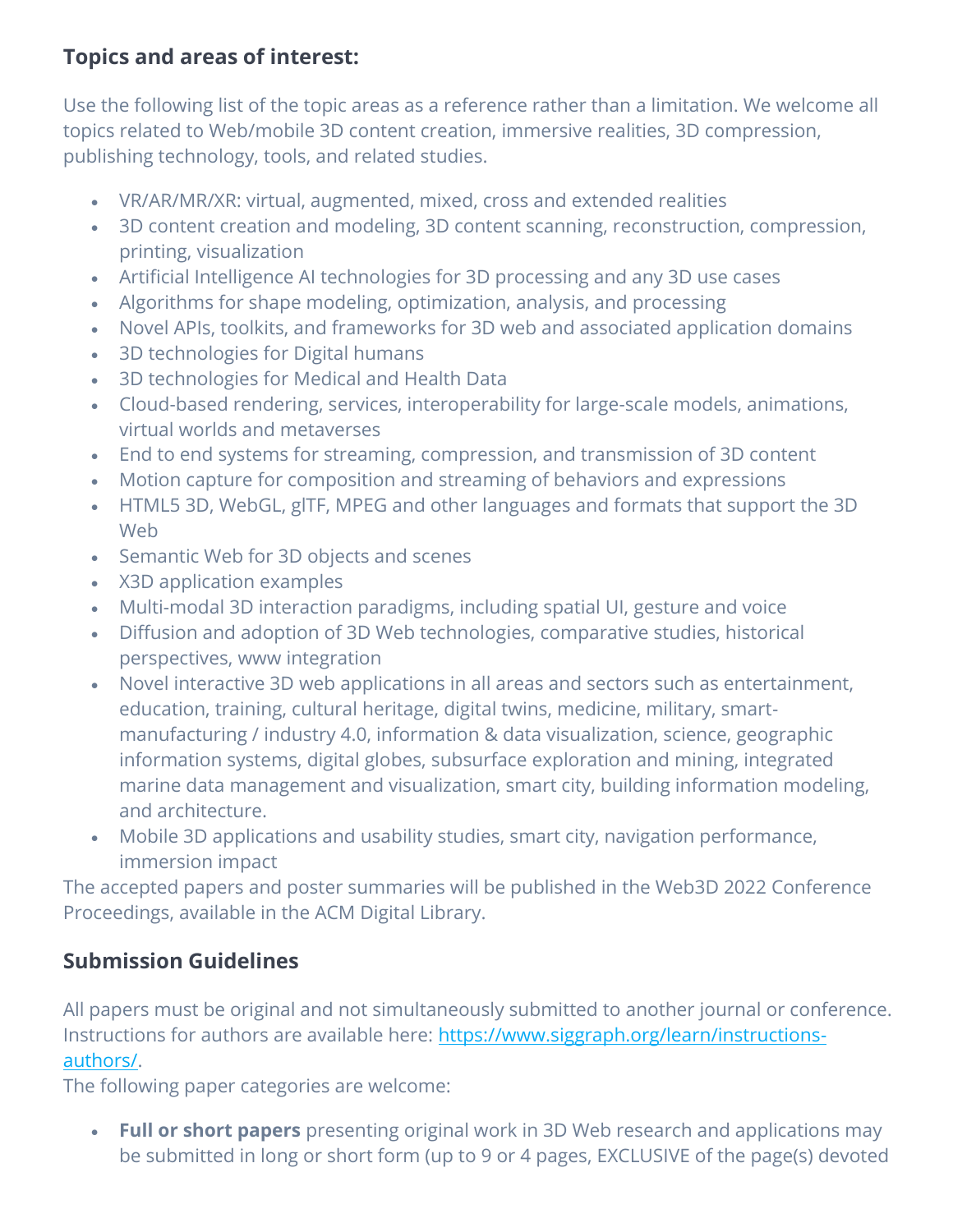## **Topics and areas of interest:**

Use the following list of the topic areas as a reference rather than a limitation. We welcome all topics related to Web/mobile 3D content creation, immersive realities, 3D compression, publishing technology, tools, and related studies.

- VR/AR/MR/XR: virtual, augmented, mixed, cross and extended realities
- 3D content creation and modeling, 3D content scanning, reconstruction, compression, printing, visualization
- Artificial Intelligence AI technologies for 3D processing and any 3D use cases
- Algorithms for shape modeling, optimization, analysis, and processing
- Novel APIs, toolkits, and frameworks for 3D web and associated application domains
- 3D technologies for Digital humans
- 3D technologies for Medical and Health Data
- Cloud-based rendering, services, interoperability for large-scale models, animations, virtual worlds and metaverses
- End to end systems for streaming, compression, and transmission of 3D content
- Motion capture for composition and streaming of behaviors and expressions
- HTML5 3D, WebGL, glTF, MPEG and other languages and formats that support the 3D Web
- Semantic Web for 3D objects and scenes
- X3D application examples
- Multi-modal 3D interaction paradigms, including spatial UI, gesture and voice
- Diffusion and adoption of 3D Web technologies, comparative studies, historical perspectives, www integration
- Novel interactive 3D web applications in all areas and sectors such as entertainment, education, training, cultural heritage, digital twins, medicine, military, smartmanufacturing / industry 4.0, information & data visualization, science, geographic information systems, digital globes, subsurface exploration and mining, integrated marine data management and visualization, smart city, building information modeling, and architecture.
- Mobile 3D applications and usability studies, smart city, navigation performance, immersion impact

The accepted papers and poster summaries will be published in the Web3D 2022 Conference Proceedings, available in the ACM Digital Library.

# **Submission Guidelines**

All papers must be original and not simultaneously submitted to another journal or conference. Instructions for authors are available here: [https://www.siggraph.org/learn/instructions](https://www.siggraph.org/learn/instructions-authors/)[authors/.](https://www.siggraph.org/learn/instructions-authors/)

The following paper categories are welcome:

• **Full or short papers** presenting original work in 3D Web research and applications may be submitted in long or short form (up to 9 or 4 pages, EXCLUSIVE of the page(s) devoted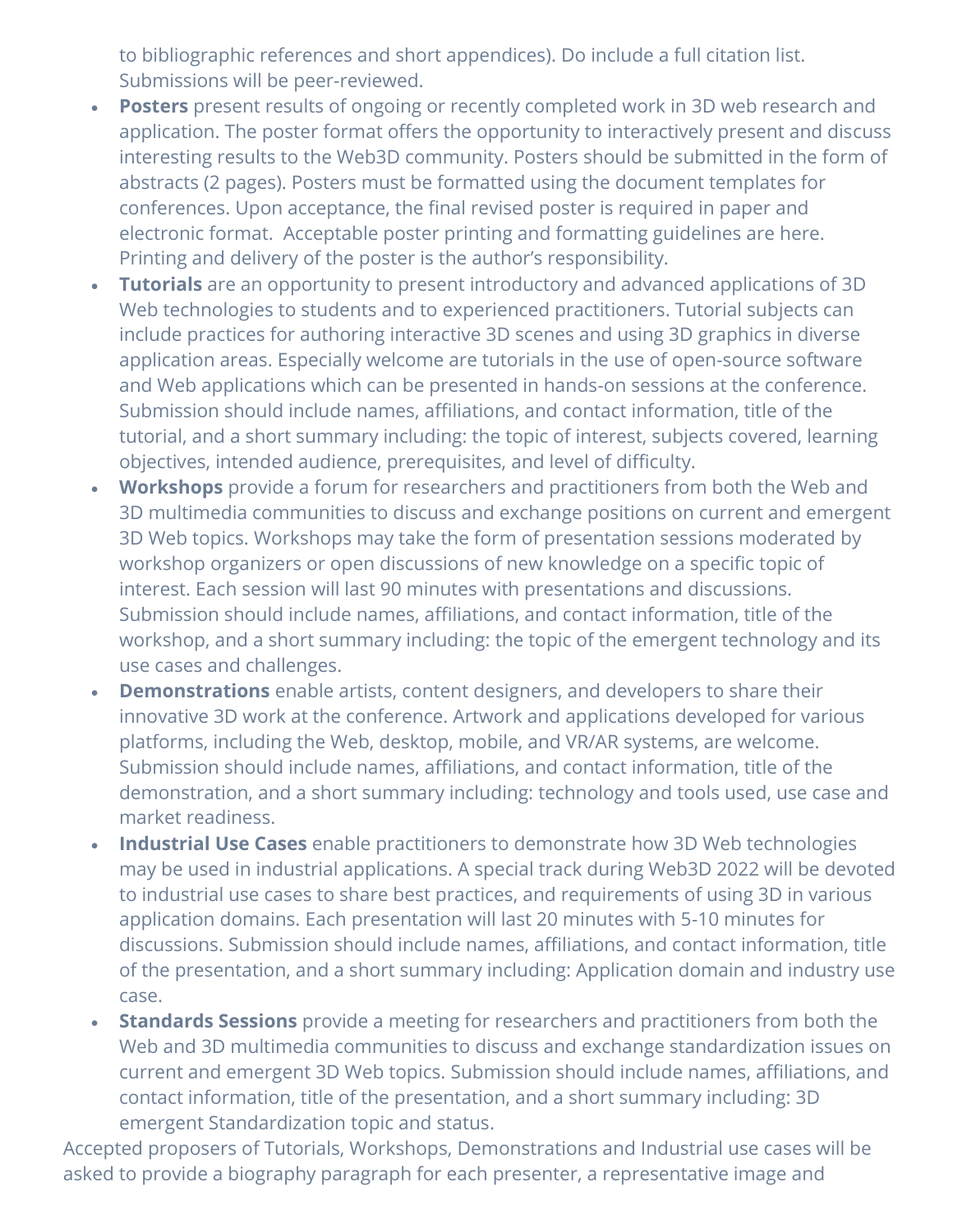to bibliographic references and short appendices). Do include a full citation list. Submissions will be peer-reviewed.

- **Posters** present results of ongoing or recently completed work in 3D web research and application. The poster format offers the opportunity to interactively present and discuss interesting results to the Web3D community. Posters should be submitted in the form of abstracts (2 pages). Posters must be formatted using the document templates for conferences. Upon acceptance, the final revised poster is required in paper and electronic format. Acceptable poster printing and formatting guidelines are here. Printing and delivery of the poster is the author's responsibility.
- **Tutorials** are an opportunity to present introductory and advanced applications of 3D Web technologies to students and to experienced practitioners. Tutorial subjects can include practices for authoring interactive 3D scenes and using 3D graphics in diverse application areas. Especially welcome are tutorials in the use of open-source software and Web applications which can be presented in hands-on sessions at the conference. Submission should include names, affiliations, and contact information, title of the tutorial, and a short summary including: the topic of interest, subjects covered, learning objectives, intended audience, prerequisites, and level of difficulty.
- **Workshops** provide a forum for researchers and practitioners from both the Web and 3D multimedia communities to discuss and exchange positions on current and emergent 3D Web topics. Workshops may take the form of presentation sessions moderated by workshop organizers or open discussions of new knowledge on a specific topic of interest. Each session will last 90 minutes with presentations and discussions. Submission should include names, affiliations, and contact information, title of the workshop, and a short summary including: the topic of the emergent technology and its use cases and challenges.
- **Demonstrations** enable artists, content designers, and developers to share their innovative 3D work at the conference. Artwork and applications developed for various platforms, including the Web, desktop, mobile, and VR/AR systems, are welcome. Submission should include names, affiliations, and contact information, title of the demonstration, and a short summary including: technology and tools used, use case and market readiness.
- **Industrial Use Cases** enable practitioners to demonstrate how 3D Web technologies may be used in industrial applications. A special track during Web3D 2022 will be devoted to industrial use cases to share best practices, and requirements of using 3D in various application domains. Each presentation will last 20 minutes with 5-10 minutes for discussions. Submission should include names, affiliations, and contact information, title of the presentation, and a short summary including: Application domain and industry use case.
- **Standards Sessions** provide a meeting for researchers and practitioners from both the Web and 3D multimedia communities to discuss and exchange standardization issues on current and emergent 3D Web topics. Submission should include names, affiliations, and contact information, title of the presentation, and a short summary including: 3D emergent Standardization topic and status.

Accepted proposers of Tutorials, Workshops, Demonstrations and Industrial use cases will be asked to provide a biography paragraph for each presenter, a representative image and